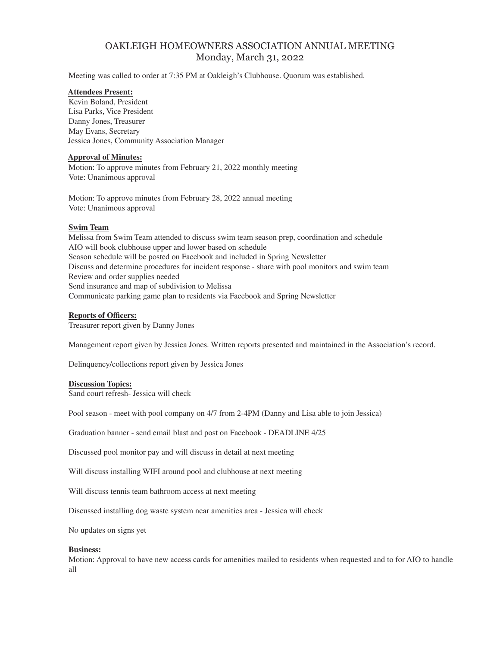# OAKLEIGH HOMEOWNERS ASSOCIATION ANNUAL MEETING Monday, March 31, 2022

Meeting was called to order at 7:35 PM at Oakleigh's Clubhouse. Quorum was established.

## **Attendees Present:**

Kevin Boland, President Lisa Parks, Vice President Danny Jones, Treasurer May Evans, Secretary Jessica Jones, Community Association Manager

## **Approval of Minutes:**

Motion: To approve minutes from February 21, 2022 monthly meeting Vote: Unanimous approval

Motion: To approve minutes from February 28, 2022 annual meeting Vote: Unanimous approval

## **Swim Team**

Melissa from Swim Team attended to discuss swim team season prep, coordination and schedule AIO will book clubhouse upper and lower based on schedule Season schedule will be posted on Facebook and included in Spring Newsletter Discuss and determine procedures for incident response - share with pool monitors and swim team Review and order supplies needed Send insurance and map of subdivision to Melissa Communicate parking game plan to residents via Facebook and Spring Newsletter

## **Reports of Officers:**

Treasurer report given by Danny Jones

Management report given by Jessica Jones. Written reports presented and maintained in the Association's record.

Delinquency/collections report given by Jessica Jones

#### **Discussion Topics:**

Sand court refresh- Jessica will check

Pool season - meet with pool company on 4/7 from 2-4PM (Danny and Lisa able to join Jessica)

Graduation banner - send email blast and post on Facebook - DEADLINE 4/25

Discussed pool monitor pay and will discuss in detail at next meeting

Will discuss installing WIFI around pool and clubhouse at next meeting

Will discuss tennis team bathroom access at next meeting

Discussed installing dog waste system near amenities area - Jessica will check

No updates on signs yet

#### **Business:**

Motion: Approval to have new access cards for amenities mailed to residents when requested and to for AIO to handle all